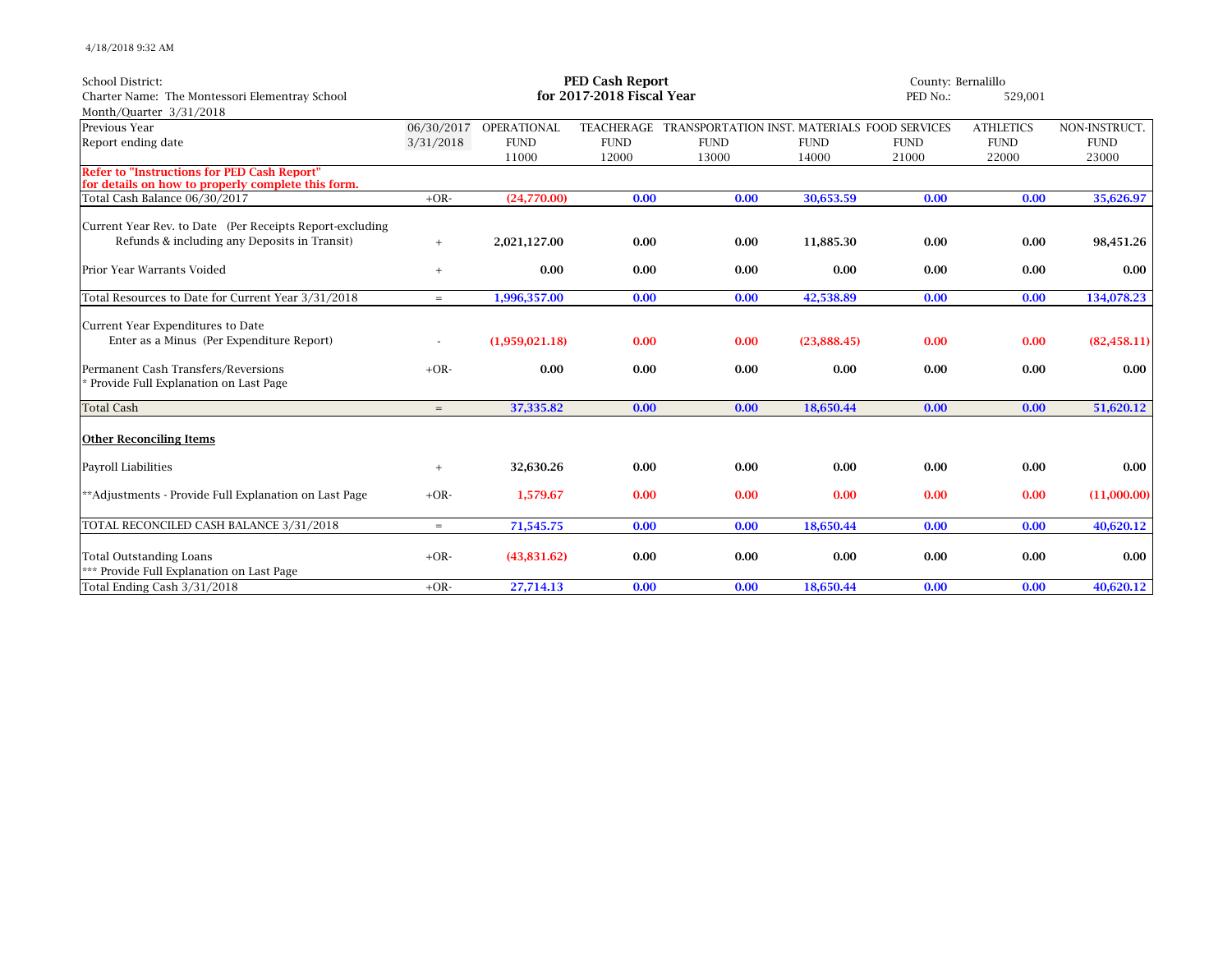4/18/2018 9:32 AM

| <b>School District:</b>                                                                                  | <b>PED Cash Report</b> |                        |                           |                                                         |             | County: Bernalillo |                  |               |
|----------------------------------------------------------------------------------------------------------|------------------------|------------------------|---------------------------|---------------------------------------------------------|-------------|--------------------|------------------|---------------|
| Charter Name: The Montessori Elementray School                                                           |                        |                        | for 2017-2018 Fiscal Year |                                                         |             | PED No.:           | 529,001          |               |
| Month/Quarter 3/31/2018                                                                                  |                        |                        |                           |                                                         |             |                    |                  |               |
| Previous Year                                                                                            |                        | 06/30/2017 OPERATIONAL |                           | TEACHERAGE TRANSPORTATION INST. MATERIALS FOOD SERVICES |             |                    | <b>ATHLETICS</b> | NON-INSTRUCT. |
| Report ending date                                                                                       | 3/31/2018              | <b>FUND</b>            | <b>FUND</b>               | <b>FUND</b>                                             | <b>FUND</b> | <b>FUND</b>        | <b>FUND</b>      | <b>FUND</b>   |
|                                                                                                          |                        | 11000                  | 12000                     | 13000                                                   | 14000       | 21000              | 22000            | 23000         |
| <b>Refer to "Instructions for PED Cash Report"</b><br>for details on how to properly complete this form. |                        |                        |                           |                                                         |             |                    |                  |               |
| Total Cash Balance 06/30/2017                                                                            | $+OR-$                 | (24,770.00)            | 0.00                      | 0.00                                                    | 30,653.59   | 0.00               | 0.00             | 35,626.97     |
| Current Year Rev. to Date (Per Receipts Report-excluding                                                 |                        |                        |                           |                                                         |             |                    |                  |               |
| Refunds & including any Deposits in Transit)                                                             | $^{+}$                 | 2,021,127.00           | 0.00                      | 0.00                                                    | 11.885.30   | 0.00               | 0.00             | 98,451.26     |
| Prior Year Warrants Voided                                                                               | $+$                    | 0.00                   | 0.00                      | 0.00                                                    | 0.00        | 0.00               | 0.00             | 0.00          |
| Total Resources to Date for Current Year 3/31/2018                                                       | $=$                    | 1,996,357.00           | 0.00                      | 0.00                                                    | 42,538.89   | 0.00               | 0.00             | 134,078.23    |
| Current Year Expenditures to Date                                                                        |                        |                        |                           |                                                         |             |                    |                  |               |
| Enter as a Minus (Per Expenditure Report)                                                                |                        | (1,959,021.18)         | 0.00                      | 0.00                                                    | (23.888.45) | 0.00               | 0.00             | (82, 458.11)  |
| Permanent Cash Transfers/Reversions<br>* Provide Full Explanation on Last Page                           | $+OR-$                 | 0.00                   | 0.00                      | 0.00                                                    | 0.00        | 0.00               | 0.00             | 0.00          |
| <b>Total Cash</b>                                                                                        | $=$                    | 37,335.82              | 0.00                      | 0.00                                                    | 18,650.44   | 0.00               | 0.00             | 51,620.12     |
| <b>Other Reconciling Items</b>                                                                           |                        |                        |                           |                                                         |             |                    |                  |               |
| <b>Payroll Liabilities</b>                                                                               | $+$                    | 32,630.26              | 0.00                      | 0.00                                                    | 0.00        | 0.00               | 0.00             | 0.00          |
| ** Adjustments - Provide Full Explanation on Last Page                                                   | $+OR-$                 | 1,579.67               | 0.00                      | 0.00                                                    | 0.00        | 0.00               | 0.00             | (11,000.00)   |
| TOTAL RECONCILED CASH BALANCE 3/31/2018                                                                  | $=$                    | 71,545.75              | 0.00                      | 0.00                                                    | 18,650.44   | 0.00               | 0.00             | 40,620.12     |
| <b>Total Outstanding Loans</b><br>*** Provide Full Explanation on Last Page                              | $+OR-$                 | (43,831.62)            | 0.00                      | 0.00                                                    | 0.00        | 0.00               | 0.00             | 0.00          |
| Total Ending Cash 3/31/2018                                                                              | $+OR-$                 | 27,714.13              | 0.00                      | 0.00                                                    | 18,650.44   | 0.00               | 0.00             | 40,620.12     |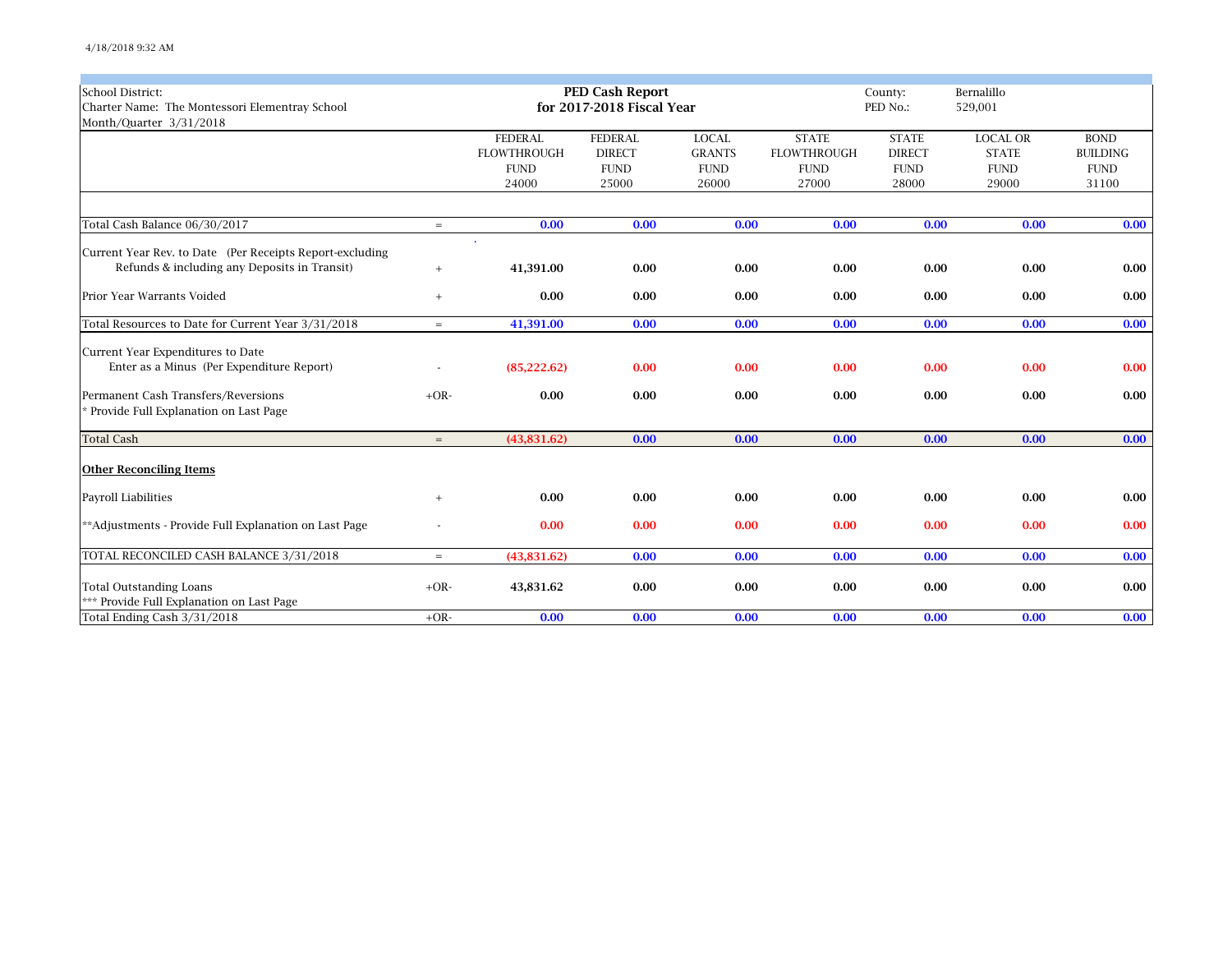| <b>School District:</b>                                  |        |                    | <b>PED Cash Report</b>    |               |                     | Bernalillo<br>County: |                 |                 |
|----------------------------------------------------------|--------|--------------------|---------------------------|---------------|---------------------|-----------------------|-----------------|-----------------|
| Charter Name: The Montessori Elementray School           |        |                    | for 2017-2018 Fiscal Year |               | PED No.:<br>529,001 |                       |                 |                 |
| Month/Quarter 3/31/2018                                  |        |                    |                           |               |                     |                       |                 |                 |
|                                                          |        | <b>FEDERAL</b>     | <b>FEDERAL</b>            | <b>LOCAL</b>  | <b>STATE</b>        | <b>STATE</b>          | <b>LOCAL OR</b> | <b>BOND</b>     |
|                                                          |        | <b>FLOWTHROUGH</b> | <b>DIRECT</b>             | <b>GRANTS</b> | <b>FLOWTHROUGH</b>  | <b>DIRECT</b>         | <b>STATE</b>    | <b>BUILDING</b> |
|                                                          |        | <b>FUND</b>        | <b>FUND</b>               | <b>FUND</b>   | <b>FUND</b>         | <b>FUND</b>           | <b>FUND</b>     | <b>FUND</b>     |
|                                                          |        | 24000              | 25000                     | 26000         | 27000               | 28000                 | 29000           | 31100           |
|                                                          |        |                    |                           |               |                     |                       |                 |                 |
| Total Cash Balance 06/30/2017                            | $=$    | 0.00               | 0.00                      | 0.00          | 0.00                | 0.00                  | 0.00            | 0.00            |
|                                                          |        |                    |                           |               |                     |                       |                 |                 |
| Current Year Rev. to Date (Per Receipts Report-excluding |        |                    |                           |               |                     |                       |                 |                 |
| Refunds & including any Deposits in Transit)             | $^{+}$ | 41,391.00          | 0.00                      | 0.00          | 0.00                | 0.00                  | 0.00            | 0.00            |
| Prior Year Warrants Voided                               | $^{+}$ | 0.00               | 0.00                      | 0.00          | 0.00                | 0.00                  | 0.00            | 0.00            |
| Total Resources to Date for Current Year 3/31/2018       | $=$    | 41,391.00          | 0.00                      | 0.00          | 0.00                | 0.00                  | 0.00            | 0.00            |
| Current Year Expenditures to Date                        |        |                    |                           |               |                     |                       |                 |                 |
| Enter as a Minus (Per Expenditure Report)                |        | (85, 222.62)       | 0.00                      | 0.00          | 0.00                | 0.00                  | 0.00            | 0.00            |
|                                                          |        |                    |                           |               |                     |                       |                 |                 |
| Permanent Cash Transfers/Reversions                      | $+OR-$ | 0.00               | 0.00                      | 0.00          | 0.00                | 0.00                  | 0.00            | 0.00            |
| * Provide Full Explanation on Last Page                  |        |                    |                           |               |                     |                       |                 |                 |
| <b>Total Cash</b>                                        | $=$    | (43,831.62)        | 0.00                      | 0.00          | 0.00                | 0.00                  | 0.00            | 0.00            |
| <b>Other Reconciling Items</b>                           |        |                    |                           |               |                     |                       |                 |                 |
|                                                          |        |                    |                           |               |                     |                       |                 |                 |
| <b>Payroll Liabilities</b>                               | $^{+}$ | 0.00               | 0.00                      | 0.00          | 0.00                | 0.00                  | 0.00            | 0.00            |
| **Adjustments - Provide Full Explanation on Last Page    |        | 0.00               | 0.00                      | 0.00          | 0.00                | 0.00                  | 0.00            | 0.00            |
| TOTAL RECONCILED CASH BALANCE 3/31/2018                  | $=$    | (43,831.62)        | 0.00                      | 0.00          | 0.00                | 0.00                  | 0.00            | 0.00            |
|                                                          |        |                    |                           |               |                     |                       |                 |                 |
| <b>Total Outstanding Loans</b>                           | $+OR-$ | 43,831.62          | 0.00                      | 0.00          | 0.00                | 0.00                  | 0.00            | 0.00            |
| *** Provide Full Explanation on Last Page                |        |                    |                           |               |                     |                       |                 |                 |
| Total Ending Cash 3/31/2018                              | $+OR-$ | 0.00               | 0.00                      | 0.00          | 0.00                | 0.00                  | 0.00            | 0.00            |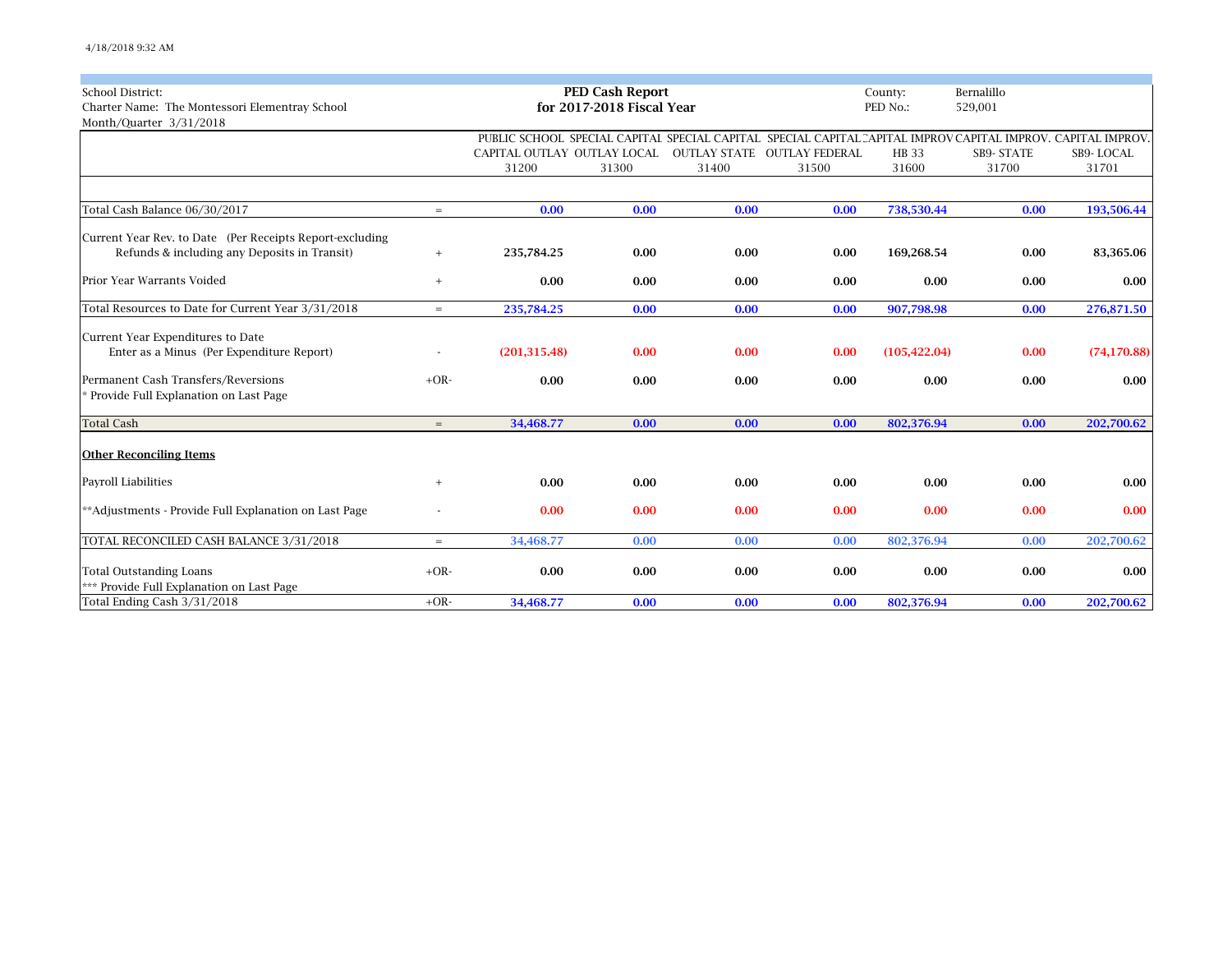| School District:                                         |        |                             | <b>PED Cash Report</b>    |       |                             | County:       | Bernalillo                                                                                                  |              |
|----------------------------------------------------------|--------|-----------------------------|---------------------------|-------|-----------------------------|---------------|-------------------------------------------------------------------------------------------------------------|--------------|
| Charter Name: The Montessori Elementray School           |        |                             | for 2017-2018 Fiscal Year |       | PED No.:                    | 529,001       |                                                                                                             |              |
| Month/Quarter 3/31/2018                                  |        |                             |                           |       |                             |               |                                                                                                             |              |
|                                                          |        |                             |                           |       |                             |               | PUBLIC SCHOOL SPECIAL CAPITAL SPECIAL CAPITAL SPECIAL CAPITAL CAPITAL IMPROV CAPITAL IMPROV, CAPITAL IMPROV |              |
|                                                          |        | CAPITAL OUTLAY OUTLAY LOCAL |                           |       | OUTLAY STATE OUTLAY FEDERAL | HB 33         | SB9-STATE                                                                                                   | SB9-LOCAL    |
|                                                          |        | 31200                       | 31300                     | 31400 | 31500                       | 31600         | 31700                                                                                                       | 31701        |
|                                                          |        |                             |                           |       |                             |               |                                                                                                             |              |
| Total Cash Balance 06/30/2017                            | $=$    | 0.00                        | 0.00                      | 0.00  | 0.00                        | 738,530.44    | 0.00                                                                                                        | 193,506.44   |
| Current Year Rev. to Date (Per Receipts Report-excluding |        |                             |                           |       |                             |               |                                                                                                             |              |
| Refunds & including any Deposits in Transit)             | $^{+}$ | 235,784.25                  | 0.00                      | 0.00  | 0.00                        | 169,268.54    | 0.00                                                                                                        | 83,365.06    |
| Prior Year Warrants Voided                               | $^{+}$ | 0.00                        | 0.00                      | 0.00  | 0.00                        | 0.00          | 0.00                                                                                                        | 0.00         |
| Total Resources to Date for Current Year 3/31/2018       | $=$    | 235,784.25                  | 0.00                      | 0.00  | 0.00                        | 907,798.98    | 0.00                                                                                                        | 276,871.50   |
| Current Year Expenditures to Date                        |        |                             |                           |       |                             |               |                                                                                                             |              |
| Enter as a Minus (Per Expenditure Report)                |        | (201, 315.48)               | 0.00                      | 0.00  | 0.00                        | (105, 422.04) | 0.00                                                                                                        | (74, 170.88) |
| Permanent Cash Transfers/Reversions                      | $+OR-$ | 0.00                        | 0.00                      | 0.00  | 0.00                        | 0.00          | 0.00                                                                                                        | 0.00         |
| * Provide Full Explanation on Last Page                  |        |                             |                           |       |                             |               |                                                                                                             |              |
| <b>Total Cash</b>                                        | $=$    | 34,468.77                   | 0.00                      | 0.00  | 0.00                        | 802,376.94    | 0.00                                                                                                        | 202,700.62   |
| <b>Other Reconciling Items</b>                           |        |                             |                           |       |                             |               |                                                                                                             |              |
| Payroll Liabilities                                      | $^{+}$ | 0.00                        | 0.00                      | 0.00  | 0.00                        | 0.00          | 0.00                                                                                                        | 0.00         |
| **Adjustments - Provide Full Explanation on Last Page    |        | 0.00                        | 0.00                      | 0.00  | 0.00                        | 0.00          | 0.00                                                                                                        | 0.00         |
| TOTAL RECONCILED CASH BALANCE 3/31/2018                  | $=$    | 34,468.77                   | 0.00                      | 0.00  | 0.00                        | 802,376.94    | 0.00                                                                                                        | 202,700.62   |
| <b>Total Outstanding Loans</b>                           | $+OR-$ | 0.00                        | 0.00                      | 0.00  | 0.00                        | 0.00          | 0.00                                                                                                        | 0.00         |
| *** Provide Full Explanation on Last Page                |        |                             |                           |       |                             |               |                                                                                                             |              |
| Total Ending Cash 3/31/2018                              | $+OR-$ | 34,468.77                   | 0.00                      | 0.00  | 0.00                        | 802,376.94    | 0.00                                                                                                        | 202,700.62   |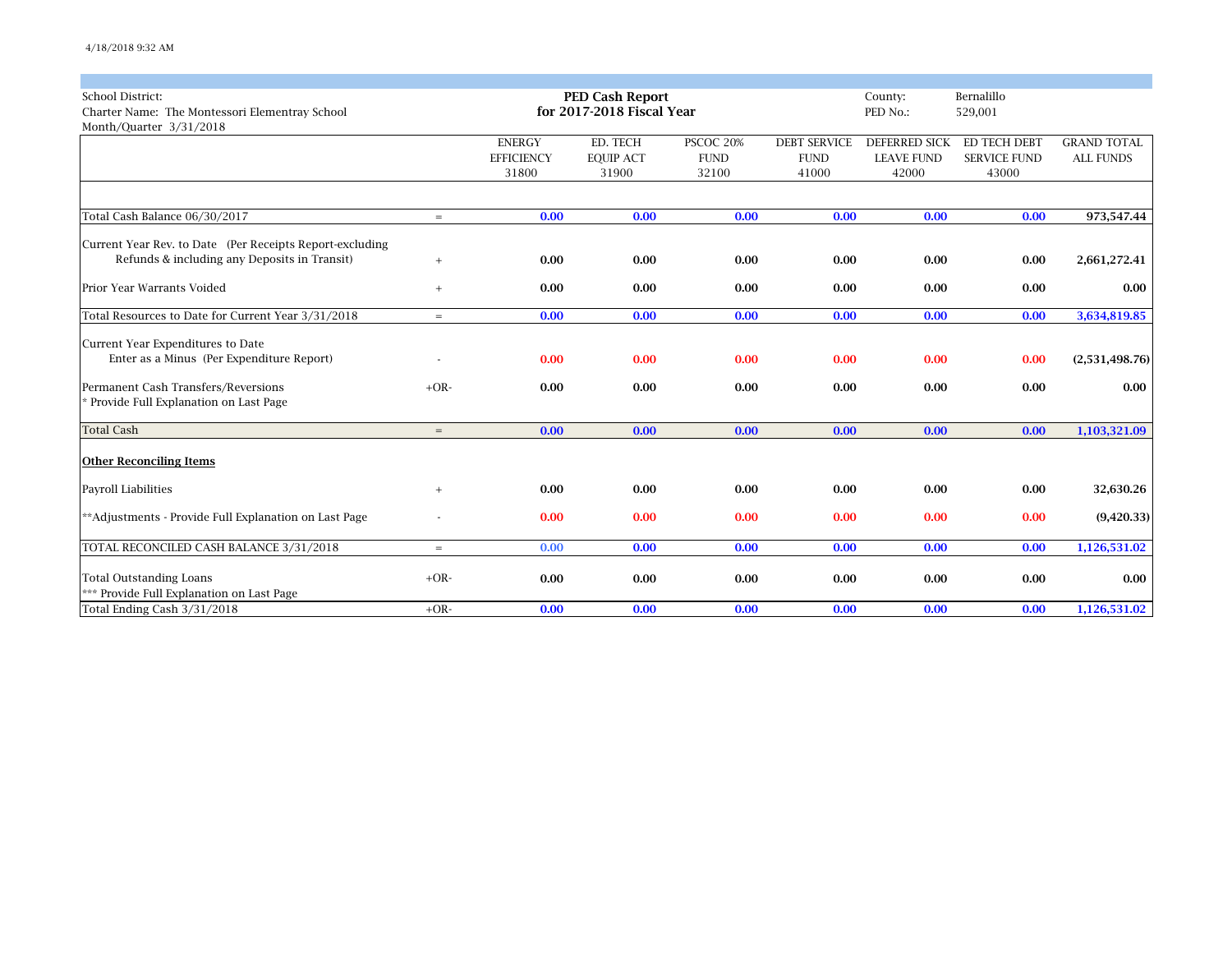| <b>School District:</b>                                  |           |                   | <b>PED Cash Report</b>    |             |                     | County:           | Bernalillo          |                    |
|----------------------------------------------------------|-----------|-------------------|---------------------------|-------------|---------------------|-------------------|---------------------|--------------------|
| Charter Name: The Montessori Elementray School           |           |                   | for 2017-2018 Fiscal Year |             |                     | PED No.:          | 529,001             |                    |
| Month/Quarter 3/31/2018                                  |           |                   |                           |             |                     |                   |                     |                    |
|                                                          |           | <b>ENERGY</b>     | ED. TECH                  | PSCOC 20%   | <b>DEBT SERVICE</b> | DEFERRED SICK     | ED TECH DEBT        | <b>GRAND TOTAL</b> |
|                                                          |           | <b>EFFICIENCY</b> | <b>EQUIP ACT</b>          | <b>FUND</b> | <b>FUND</b>         | <b>LEAVE FUND</b> | <b>SERVICE FUND</b> | <b>ALL FUNDS</b>   |
|                                                          |           | 31800             | 31900                     | 32100       | 41000               | 42000             | 43000               |                    |
| Total Cash Balance 06/30/2017                            | $=$       | 0.00              | 0.00                      | 0.00        | 0.00                | 0.00              | 0.00                | 973,547.44         |
| Current Year Rev. to Date (Per Receipts Report-excluding |           |                   |                           |             |                     |                   |                     |                    |
| Refunds & including any Deposits in Transit)             | $\ddot{}$ | 0.00              | 0.00                      | 0.00        | 0.00                | 0.00              | 0.00                | 2,661,272.41       |
| Prior Year Warrants Voided                               | $^{+}$    | 0.00              | 0.00                      | 0.00        | 0.00                | 0.00              | 0.00                | 0.00               |
| Total Resources to Date for Current Year 3/31/2018       | $\equiv$  | 0.00              | 0.00                      | 0.00        | 0.00                | 0.00              | 0.00                | 3,634,819.85       |
| Current Year Expenditures to Date                        |           |                   |                           |             |                     |                   |                     |                    |
| Enter as a Minus (Per Expenditure Report)                |           | 0.00              | 0.00                      | 0.00        | 0.00                | 0.00              | 0.00                | (2,531,498.76)     |
| Permanent Cash Transfers/Reversions                      | $+OR-$    | 0.00              | 0.00                      | 0.00        | 0.00                | 0.00              | 0.00                | 0.00               |
| * Provide Full Explanation on Last Page                  |           |                   |                           |             |                     |                   |                     |                    |
| <b>Total Cash</b>                                        | $=$       | 0.00              | 0.00                      | 0.00        | 0.00                | 0.00              | 0.00                | 1,103,321.09       |
| <b>Other Reconciling Items</b>                           |           |                   |                           |             |                     |                   |                     |                    |
| Payroll Liabilities                                      | $^{+}$    | 0.00              | 0.00                      | 0.00        | 0.00                | 0.00              | 0.00                | 32,630.26          |
| **Adjustments - Provide Full Explanation on Last Page    |           | 0.00              | 0.00                      | 0.00        | 0.00                | 0.00              | 0.00                | (9,420.33)         |
| TOTAL RECONCILED CASH BALANCE 3/31/2018                  | $=$       | 0.00              | 0.00                      | 0.00        | 0.00                | 0.00              | 0.00                | 1,126,531.02       |
| <b>Total Outstanding Loans</b>                           | $+OR-$    | 0.00              | 0.00                      | 0.00        | 0.00                | 0.00              | 0.00                | 0.00               |
| *** Provide Full Explanation on Last Page                |           |                   |                           |             |                     |                   |                     |                    |
| Total Ending Cash 3/31/2018                              | $+OR-$    | 0.00              | 0.00                      | 0.00        | 0.00                | 0.00              | 0.00                | 1,126,531.02       |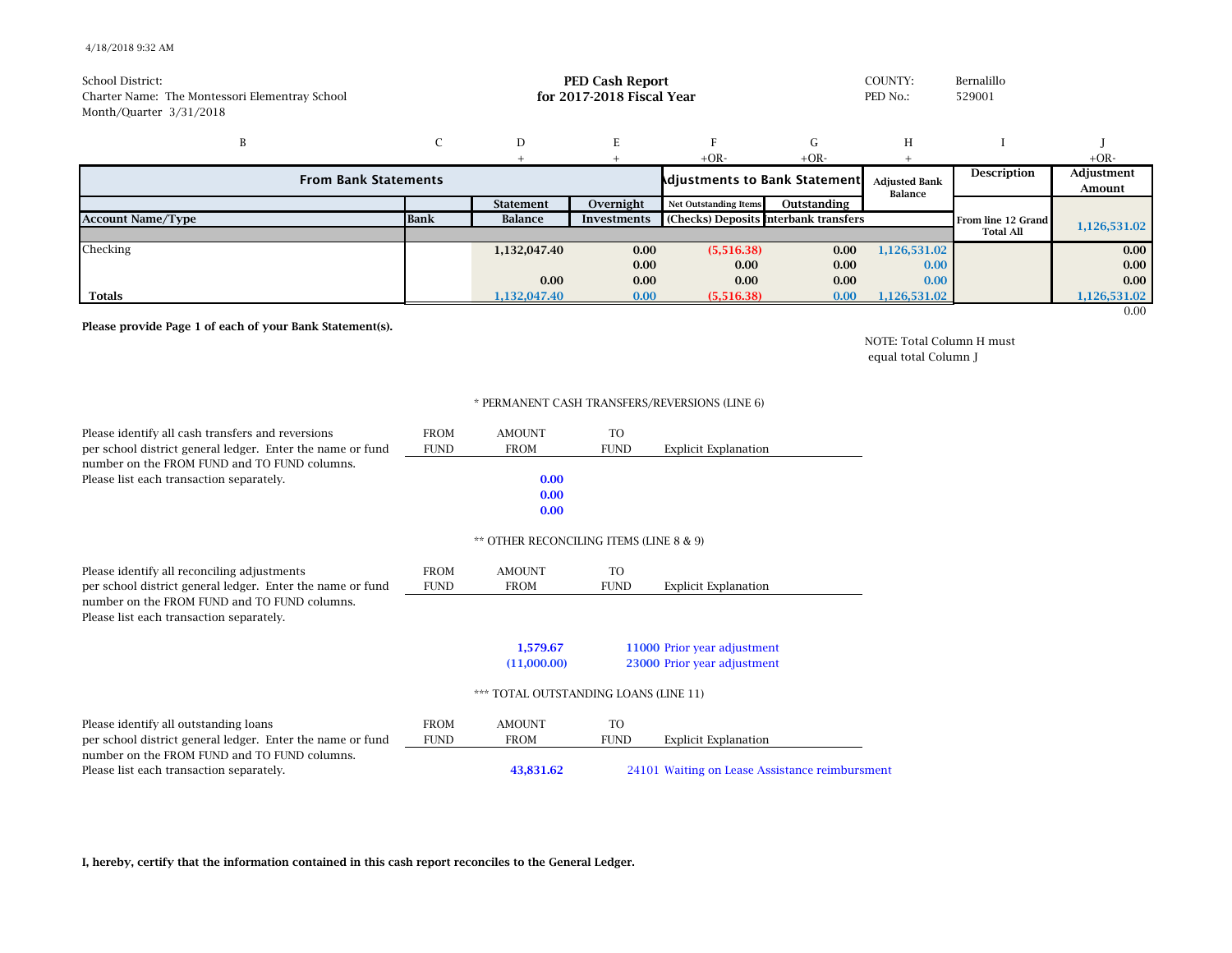## 4/18/2018 9:32 AM

| School District:<br>Charter Name: The Montessori Elementray School<br>Month/Quarter 3/31/2018 |             |                  | <b>PED Cash Report</b><br>for 2017-2018 Fiscal Year |                                       |             | COUNTY:<br>PED No.:             | Bernalillo<br>529001 |                      |
|-----------------------------------------------------------------------------------------------|-------------|------------------|-----------------------------------------------------|---------------------------------------|-------------|---------------------------------|----------------------|----------------------|
| B                                                                                             |             | D                |                                                     |                                       | G           | Η                               |                      |                      |
|                                                                                               |             |                  |                                                     | $+OR-$                                | $+OR-$      |                                 |                      | $+OR-$               |
| <b>From Bank Statements</b>                                                                   |             |                  |                                                     | <b>Adjustments to Bank Statement</b>  |             | <b>Adjusted Bank</b><br>Balance | <b>Description</b>   | Adjustment<br>Amount |
|                                                                                               |             | <b>Statement</b> | Overnight                                           | <b>Net Outstanding Items</b>          | Outstanding |                                 |                      |                      |
| <b>Account Name/Type</b>                                                                      | <b>Bank</b> | Balance          | Investments                                         | (Checks) Deposits Interbank transfers |             |                                 | From line 12 Grand   | 1,126,531.02         |
|                                                                                               |             |                  |                                                     |                                       |             |                                 | <b>Total All</b>     |                      |
| Checking                                                                                      |             | 1,132,047.40     | 0.00                                                | (5,516.38)                            | 0.00        | 1,126,531.02                    |                      | 0.00                 |
|                                                                                               |             |                  | 0.00                                                | 0.00                                  | 0.00        | 0.00                            |                      | 0.00                 |
|                                                                                               |             | 0.00             | 0.00                                                | 0.00                                  | 0.00        | 0.00                            |                      | 0.00                 |
| <b>Totals</b>                                                                                 |             | 1,132,047.40     | 0.00                                                | (5,516.38)                            | 0.00        | 1,126,531.02                    |                      | 1,126,531.02         |
|                                                                                               |             |                  |                                                     |                                       |             |                                 |                      | 0.00                 |

**Please provide Page 1 of each of your Bank Statement(s).**

NOTE: Total Column H must equal total Column J

## \* PERMANENT CASH TRANSFERS/REVERSIONS (LINE 6)

| Please identify all cash transfers and reversions          | <b>FROM</b> | <b>AMOUNT</b>                           | TO.         |                                                |  |  |  |  |  |
|------------------------------------------------------------|-------------|-----------------------------------------|-------------|------------------------------------------------|--|--|--|--|--|
| per school district general ledger. Enter the name or fund | <b>FUND</b> | <b>FROM</b>                             | <b>FUND</b> | <b>Explicit Explanation</b>                    |  |  |  |  |  |
| number on the FROM FUND and TO FUND columns.               |             |                                         |             |                                                |  |  |  |  |  |
| Please list each transaction separately.                   |             | 0.00                                    |             |                                                |  |  |  |  |  |
|                                                            |             | 0.00                                    |             |                                                |  |  |  |  |  |
|                                                            |             | 0.00                                    |             |                                                |  |  |  |  |  |
|                                                            |             | ** OTHER RECONCILING ITEMS (LINE 8 & 9) |             |                                                |  |  |  |  |  |
| Please identify all reconciling adjustments                | <b>FROM</b> | <b>AMOUNT</b>                           | TO          |                                                |  |  |  |  |  |
| per school district general ledger. Enter the name or fund | <b>FUND</b> | <b>FROM</b>                             | <b>FUND</b> | <b>Explicit Explanation</b>                    |  |  |  |  |  |
| number on the FROM FUND and TO FUND columns.               |             |                                         |             |                                                |  |  |  |  |  |
| Please list each transaction separately.                   |             |                                         |             |                                                |  |  |  |  |  |
|                                                            |             | 1,579.67                                |             | 11000 Prior year adjustment                    |  |  |  |  |  |
|                                                            |             | (11,000.00)                             |             | 23000 Prior year adjustment                    |  |  |  |  |  |
|                                                            |             | *** TOTAL OUTSTANDING LOANS (LINE 11)   |             |                                                |  |  |  |  |  |
| Please identify all outstanding loans                      | <b>FROM</b> | <b>AMOUNT</b>                           | TO.         |                                                |  |  |  |  |  |
| per school district general ledger. Enter the name or fund | <b>FUND</b> | <b>FROM</b>                             | <b>FUND</b> | <b>Explicit Explanation</b>                    |  |  |  |  |  |
| number on the FROM FUND and TO FUND columns.               |             |                                         |             |                                                |  |  |  |  |  |
| Please list each transaction separately.                   |             | 43,831.62                               |             | 24101 Waiting on Lease Assistance reimbursment |  |  |  |  |  |

**I, hereby, certify that the information contained in this cash report reconciles to the General Ledger.**